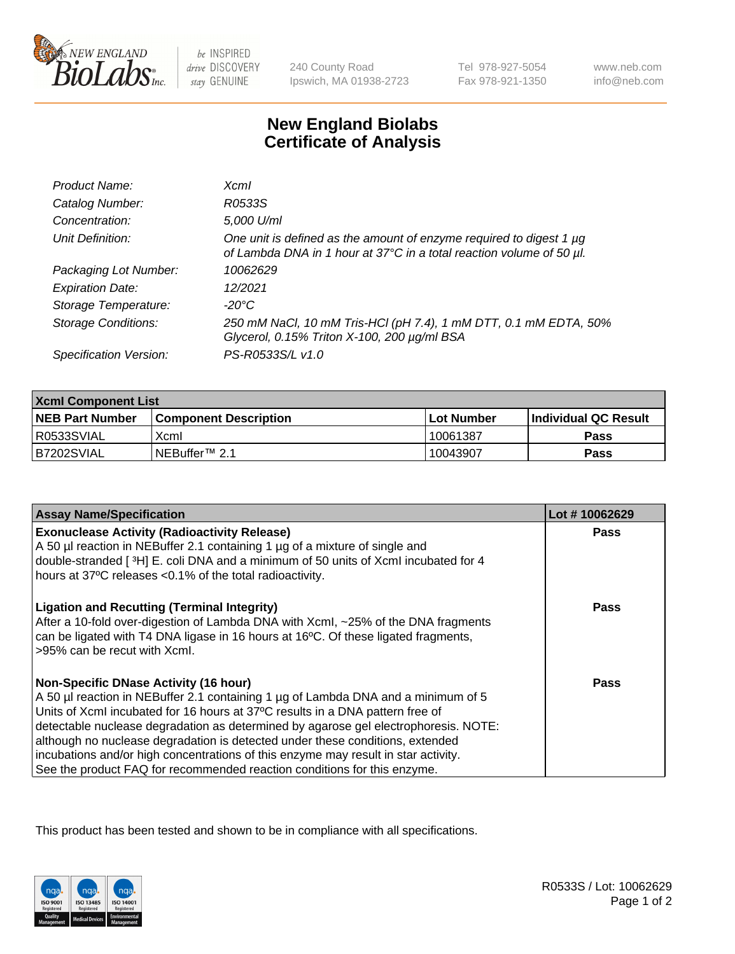

 $be$  INSPIRED drive DISCOVERY stay GENUINE

240 County Road Ipswich, MA 01938-2723 Tel 978-927-5054 Fax 978-921-1350

www.neb.com info@neb.com

## **New England Biolabs Certificate of Analysis**

| Product Name:              | <b>Xcml</b>                                                                                                                                      |
|----------------------------|--------------------------------------------------------------------------------------------------------------------------------------------------|
| Catalog Number:            | R0533S                                                                                                                                           |
| Concentration:             | 5,000 U/ml                                                                                                                                       |
| Unit Definition:           | One unit is defined as the amount of enzyme required to digest 1 $\mu$ g<br>of Lambda DNA in 1 hour at 37°C in a total reaction volume of 50 µl. |
| Packaging Lot Number:      | 10062629                                                                                                                                         |
| <b>Expiration Date:</b>    | 12/2021                                                                                                                                          |
| Storage Temperature:       | -20°C                                                                                                                                            |
| <b>Storage Conditions:</b> | 250 mM NaCl, 10 mM Tris-HCl (pH 7.4), 1 mM DTT, 0.1 mM EDTA, 50%<br>Glycerol, 0.15% Triton X-100, 200 µg/ml BSA                                  |
| Specification Version:     | PS-R0533S/L v1.0                                                                                                                                 |

| <b>Xcml Component List</b> |                              |                   |                      |  |
|----------------------------|------------------------------|-------------------|----------------------|--|
| <b>NEB Part Number</b>     | <b>Component Description</b> | <b>Lot Number</b> | Individual QC Result |  |
| R0533SVIAL                 | Xcml                         | 10061387          | Pass                 |  |
| B7202SVIAL                 | NEBuffer <sup>™</sup> 2.1    | 10043907          | Pass                 |  |

| <b>Assay Name/Specification</b>                                                                                                                                                                                                                                                                                                                                                                                                                                                                                                                              | Lot #10062629 |
|--------------------------------------------------------------------------------------------------------------------------------------------------------------------------------------------------------------------------------------------------------------------------------------------------------------------------------------------------------------------------------------------------------------------------------------------------------------------------------------------------------------------------------------------------------------|---------------|
| <b>Exonuclease Activity (Radioactivity Release)</b><br>A 50 µl reaction in NEBuffer 2.1 containing 1 µg of a mixture of single and<br>double-stranded [3H] E. coli DNA and a minimum of 50 units of Xcml incubated for 4<br>hours at 37°C releases <0.1% of the total radioactivity.                                                                                                                                                                                                                                                                         | Pass          |
| <b>Ligation and Recutting (Terminal Integrity)</b><br>After a 10-fold over-digestion of Lambda DNA with XcmI, ~25% of the DNA fragments<br>can be ligated with T4 DNA ligase in 16 hours at 16°C. Of these ligated fragments,<br>>95% can be recut with Xcml.                                                                                                                                                                                                                                                                                                | Pass          |
| <b>Non-Specific DNase Activity (16 hour)</b><br>A 50 µl reaction in NEBuffer 2.1 containing 1 µg of Lambda DNA and a minimum of 5<br>Units of XcmI incubated for 16 hours at 37°C results in a DNA pattern free of<br>detectable nuclease degradation as determined by agarose gel electrophoresis. NOTE:<br>although no nuclease degradation is detected under these conditions, extended<br>incubations and/or high concentrations of this enzyme may result in star activity.<br>See the product FAQ for recommended reaction conditions for this enzyme. | Pass          |

This product has been tested and shown to be in compliance with all specifications.